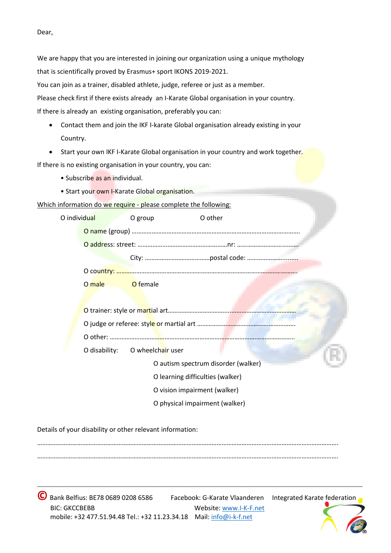Dear,

We are happy that you are interested in joining our organization using a unique mythology that is scientifically proved by Erasmus+ sport IKONS 2019-2021.

You can join as a trainer, disabled athlete, judge, referee or just as a member.

Please check first if there exists already an I-Karate Global organisation in your country.

If there is already an existing organisation, preferably you can:

- Contact them and join the IKF I-karate Global organisation already existing in your Country.
- Start your own IKF I-Karate Global organisation in your country and work together.

If there is no existing organisation in your country, you can:

- Subscribe as an individual.
- Start your own I-Karate Global organisation.

Which information do we require - please complete the following:

| O individual |                                                                                                                                                                                                                                | O group                          | O other                             |  |
|--------------|--------------------------------------------------------------------------------------------------------------------------------------------------------------------------------------------------------------------------------|----------------------------------|-------------------------------------|--|
|              |                                                                                                                                                                                                                                |                                  |                                     |  |
|              |                                                                                                                                                                                                                                |                                  |                                     |  |
|              |                                                                                                                                                                                                                                |                                  |                                     |  |
|              |                                                                                                                                                                                                                                |                                  |                                     |  |
|              | O male the state of the state of the state of the state of the state of the state of the state of the state of the state of the state of the state of the state of the state of the state of the state of the state of the sta | O female                         |                                     |  |
|              |                                                                                                                                                                                                                                |                                  |                                     |  |
|              |                                                                                                                                                                                                                                |                                  |                                     |  |
|              |                                                                                                                                                                                                                                |                                  |                                     |  |
|              |                                                                                                                                                                                                                                |                                  |                                     |  |
|              | O disability:                                                                                                                                                                                                                  | O wheelchair user                |                                     |  |
|              |                                                                                                                                                                                                                                |                                  | O autism spectrum disorder (walker) |  |
|              |                                                                                                                                                                                                                                | O learning difficulties (walker) |                                     |  |
|              |                                                                                                                                                                                                                                | O vision impairment (walker)     |                                     |  |
|              |                                                                                                                                                                                                                                |                                  | O physical impairment (walker)      |  |
|              |                                                                                                                                                                                                                                |                                  |                                     |  |

Details of your disability or other relevant information:

………………………………………………………………………………………………………………………………………………………………. ……………………………………………………………………………………………………………………………………………………………….

**\_\_\_\_\_\_\_\_\_\_\_\_\_\_\_\_\_\_\_\_\_\_\_\_\_\_\_\_\_\_\_\_\_\_\_\_\_\_\_\_\_\_\_\_\_\_\_\_\_\_\_\_\_\_\_\_\_\_\_\_\_\_\_\_\_\_\_\_\_\_\_\_\_\_\_\_\_\_\_\_\_\_\_**

**©**Bank Belfius: BE78 0689 0208 6586 Facebook: G-Karate Vlaanderen Integrated Karate federation BIC: GKCCBEBB Website: [www.I-K-F.net](http://www.i-k-f.net/) mobile: +32 477.51.94.48 Tel.: +32 11.23.34.18 Mail[: info@i-k-f.net](mailto:info@i-k-f.net)